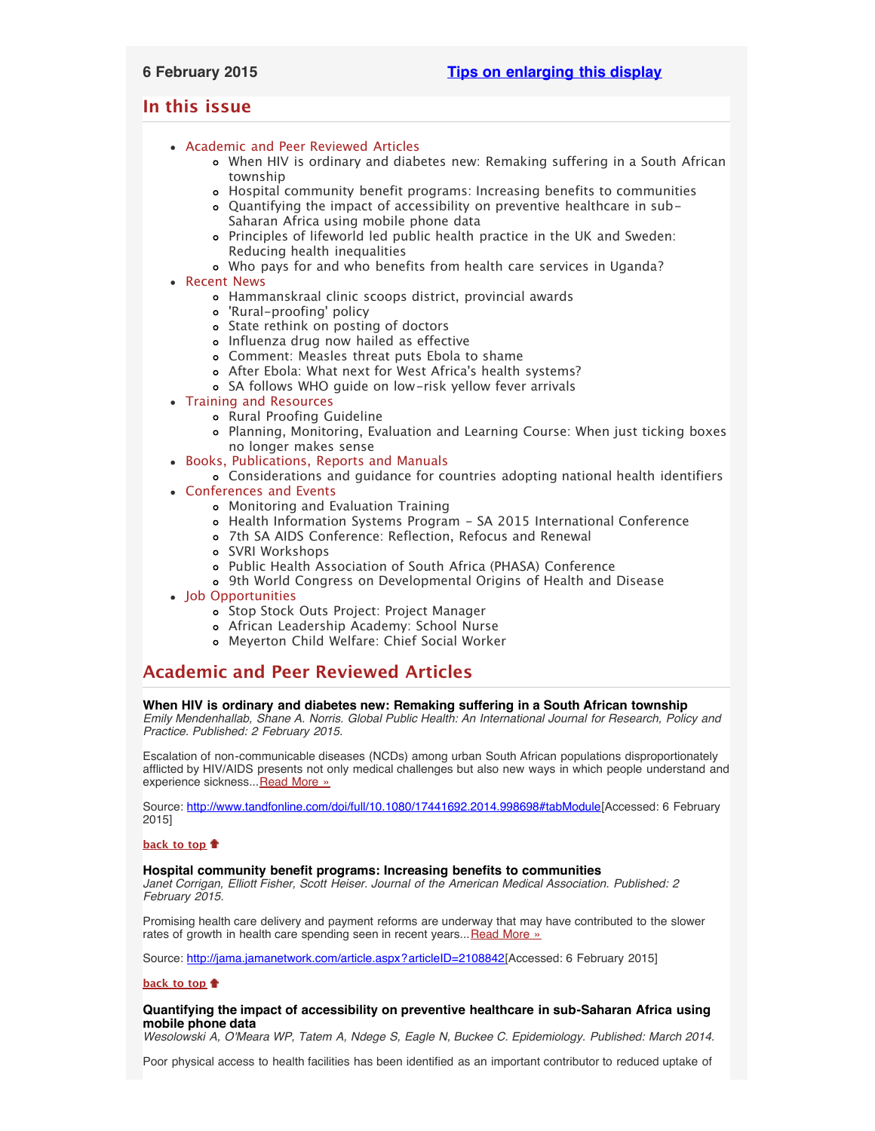## <span id="page-0-4"></span>**In this issue**

- [Academic and Peer Reviewed Articles](#page-0-0)
	- [When HIV is ordinary and diabetes new: Remaking suffering in a South African](#page-0-1) [township](#page-0-1)
	- [Hospital community benefit programs: Increasing benefits to communities](#page-0-2)
	- [Quantifying the impact of accessibility on preventive healthcare in sub-](#page-0-3)[Saharan Africa using mobile phone data](#page-0-3)
	- [Principles of lifeworld led public health practice in the UK and Sweden:](#page-1-0) [Reducing health inequalities](#page-1-0)
	- [Who pays for and who benefits from health care services in Uganda?](#page-1-0)
- [Recent News](#page-1-1)
	- [Hammanskraal clinic scoops district, provincial awards](#page-1-2)
	- ['Rural-proofing' policy](#page-1-3)
	- o [State rethink on posting of doctors](#page-1-4)
	- [Influenza drug now hailed as effective](#page-1-5)
	- [Comment: Measles threat puts Ebola to shame](#page-1-6)
	- [After Ebola: What next for West Africa](#page-2-0)'s health systems?
	- [SA follows WHO guide on low-risk yellow fever arrivals](#page-2-1)
- [Training and Resources](#page-2-2)
	- o [Rural Proofing Guideline](#page-2-3)
	- [Planning, Monitoring, Evaluation and Learning Course: When just ticking boxes](#page-2-4) [no longer makes sense](#page-2-4)
- [Books, Publications, Reports and Manuals](#page-2-5)
	- [Considerations and guidance for countries adopting national health identifiers](#page-2-6)
- [Conferences and Events](#page-2-7)
	- [Monitoring and Evaluation Training](#page-2-8)
	- [Health Information Systems Program SA 2015 International Conference](#page-3-0)
	- [7th SA AIDS Conference: Reflection, Refocus and Renewal](#page-3-1)
	- [SVRI Workshops](#page-3-2)
	- [Public Health Association of South Africa \(PHASA\) Conference](#page-3-3)
	- [9th World Congress on Developmental Origins of Health and Disease](#page-3-4)
- [Job Opportunities](#page-3-5)
	- [Stop Stock Outs Project: Project Manager](#page-3-6)
	- [African Leadership Academy: School Nurse](#page-3-7)
	- [Meyerton Child Welfare: Chief Social Worker](#page-4-0)

# <span id="page-0-0"></span>**Academic and Peer Reviewed Articles**

## <span id="page-0-1"></span>**When HIV is ordinary and diabetes new: Remaking suffering in a South African township**

*Emily Mendenhallab, Shane A. Norris. Global Public Health: An International Journal for Research, Policy and Practice. Published: 2 February 2015.*

Escalation of non-communicable diseases (NCDs) among urban South African populations disproportionately afflicted by HIV/AIDS presents not only medical challenges but also new ways in which people understand and experience sickness... [Read More »](http://www.tandfonline.com/doi/full/10.1080/17441692.2014.998698#tabModule)

Source: <http://www.tandfonline.com/doi/full/10.1080/17441692.2014.998698#tabModule>[Accessed: 6 February 2015]

## **[back to top](#page-0-4)**

## <span id="page-0-2"></span>**Hospital community benefit programs: Increasing benefits to communities**

*Janet Corrigan, Elliott Fisher, Scott Heiser. Journal of the American Medical Association. Published: 2 February 2015.*

Promising health care delivery and payment reforms are underway that may have contributed to the slower rates of growth in health care spending seen in recent years... [Read More »](http://jama.jamanetwork.com/article.aspx?articleID=2108842)

Source: [http://jama.jamanetwork.com/article.aspx?articleID=2108842\[](http://jama.jamanetwork.com/article.aspx?articleID=2108842)Accessed: 6 February 2015]

## **[back to top](#page-0-4)**

## <span id="page-0-3"></span>**Quantifying the impact of accessibility on preventive healthcare in sub-Saharan Africa using mobile phone data**

*Wesolowski A, O'Meara WP, Tatem A, Ndege S, Eagle N, Buckee C. Epidemiology. Published: March 2014.*

Poor physical access to health facilities has been identified as an important contributor to reduced uptake of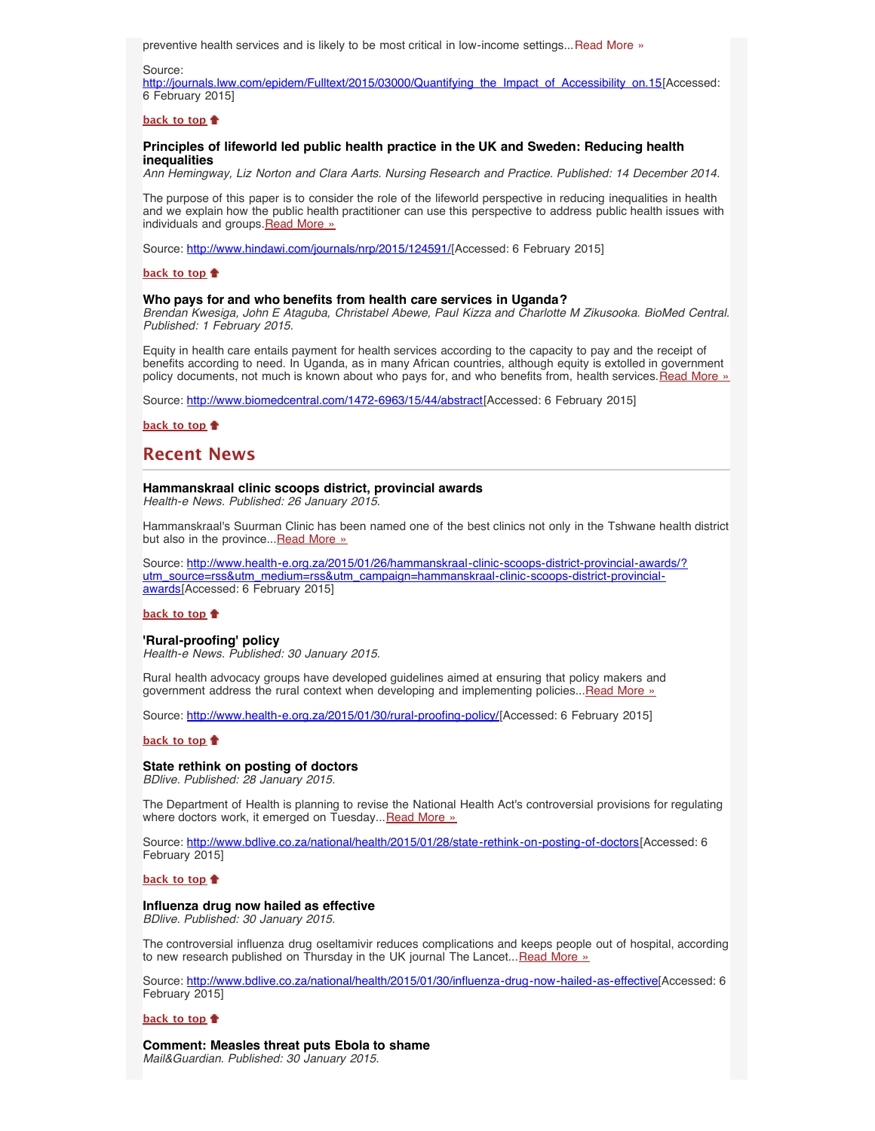preventive health services and is likely to be most critical in low-income settings...[Read More »](http://journals.lww.com/epidem/Fulltext/2015/03000/Quantifying_the_Impact_of_Accessibility_on.15.aspx)

Source:

[http://journals.lww.com/epidem/Fulltext/2015/03000/Quantifying\\_the\\_Impact\\_of\\_Accessibility\\_on.15\[](http://journals.lww.com/epidem/Fulltext/2015/03000/Quantifying_the_Impact_of_Accessibility_on.15.aspx)Accessed: 6 February 2015]

#### **[back to top](#page-0-4)**

### <span id="page-1-0"></span>**Principles of lifeworld led public health practice in the UK and Sweden: Reducing health inequalities**

*Ann Hemingway, Liz Norton and Clara Aarts. Nursing Research and Practice. Published: 14 December 2014.*

The purpose of this paper is to consider the role of the lifeworld perspective in reducing inequalities in health and we explain how the public health practitioner can use this perspective to address public health issues with individuals and groups. [Read More »](http://www.hindawi.com/journals/nrp/2015/124591/)

Source: <http://www.hindawi.com/journals/nrp/2015/124591/>[Accessed: 6 February 2015]

#### **[back to top](#page-0-4)**

### **Who pays for and who benefits from health care services in Uganda?**

*Brendan Kwesiga, John E Ataguba, Christabel Abewe, Paul Kizza and Charlotte M Zikusooka. BioMed Central. Published: 1 February 2015.*

Equity in health care entails payment for health services according to the capacity to pay and the receipt of benefits according to need. In Uganda, as in many African countries, although equity is extolled in government policy documents, not much is known about who pays for, and who benefits from, health services. [Read More »](http://www.biomedcentral.com/1472-6963/15/44/abstract)

Source: [http://www.biomedcentral.com/1472-6963/15/44/abstract\[](http://www.biomedcentral.com/1472-6963/15/44/abstract)Accessed: 6 February 2015]

**[back to top](#page-0-4)**

## <span id="page-1-1"></span>**Recent News**

#### <span id="page-1-2"></span>**Hammanskraal clinic scoops district, provincial awards**

*Health-e News. Published: 26 January 2015.*

Hammanskraal's Suurman Clinic has been named one of the best clinics not only in the Tshwane health district but also in the province... [Read More »](http://www.health-e.org.za/2015/01/26/hammanskraal-clinic-scoops-district-provincial-awards/?utm_source=rss&utm_medium=rss&utm_campaign=hammanskraal-clinic-scoops-district-provincial-awards)

Source: [http://www.health-e.org.za/2015/01/26/hammanskraal-clinic-scoops-district-provincial-awards/?](http://www.health-e.org.za/2015/01/26/hammanskraal-clinic-scoops-district-provincial-awards/?utm_source=rss&utm_medium=rss&utm_campaign=hammanskraal-clinic-scoops-district-provincial-awards) [utm\\_source=rss&utm\\_medium=rss&utm\\_campaign=hammanskraal-clinic-scoops-district-provincial](http://www.health-e.org.za/2015/01/26/hammanskraal-clinic-scoops-district-provincial-awards/?utm_source=rss&utm_medium=rss&utm_campaign=hammanskraal-clinic-scoops-district-provincial-awards)[awards](http://www.health-e.org.za/2015/01/26/hammanskraal-clinic-scoops-district-provincial-awards/?utm_source=rss&utm_medium=rss&utm_campaign=hammanskraal-clinic-scoops-district-provincial-awards)[Accessed: 6 February 2015]

### **[back to top](#page-0-4)**

### <span id="page-1-3"></span>**'Rural-proofing' policy**

*Health-e News. Published: 30 January 2015.*

Rural health advocacy groups have developed guidelines aimed at ensuring that policy makers and government address the rural context when developing and implementing policies... [Read More »](http://www.health-e.org.za/2015/01/30/rural-proofing-policy/)

Source: [http://www.health-e.org.za/2015/01/30/rural-proofing-policy/\[](http://www.health-e.org.za/2015/01/30/rural-proofing-policy/)Accessed: 6 February 2015]

#### **[back to top](#page-0-4)**

#### <span id="page-1-4"></span>**State rethink on posting of doctors**

*BDlive. Published: 28 January 2015.*

The Department of Health is planning to revise the National Health Act's controversial provisions for regulating where doctors work, it emerged on Tuesday... [Read More »](http://www.hst.org.za/news/state-rethink-posting-doctors)

Source: <http://www.bdlive.co.za/national/health/2015/01/28/state-rethink-on-posting-of-doctors>[Accessed: 6 February 2015]

#### **[back to top](#page-0-4)**

#### <span id="page-1-5"></span>**Influenza drug now hailed as effective**

*BDlive. Published: 30 January 2015.*

The controversial influenza drug oseltamivir reduces complications and keeps people out of hospital, according to new research published on Thursday in the UK journal The Lancet... [Read More »](http://www.hst.org.za/news/influenza-drug-now-hailed-effective)

Source: [http://www.bdlive.co.za/national/health/2015/01/30/influenza-drug-now-hailed-as-effective\[](http://www.bdlive.co.za/national/health/2015/01/30/influenza-drug-now-hailed-as-effective)Accessed: 6 February 2015]

#### **[back to top](#page-0-4)**

<span id="page-1-6"></span>**Comment: Measles threat puts Ebola to shame** *Mail&Guardian. Published: 30 January 2015.*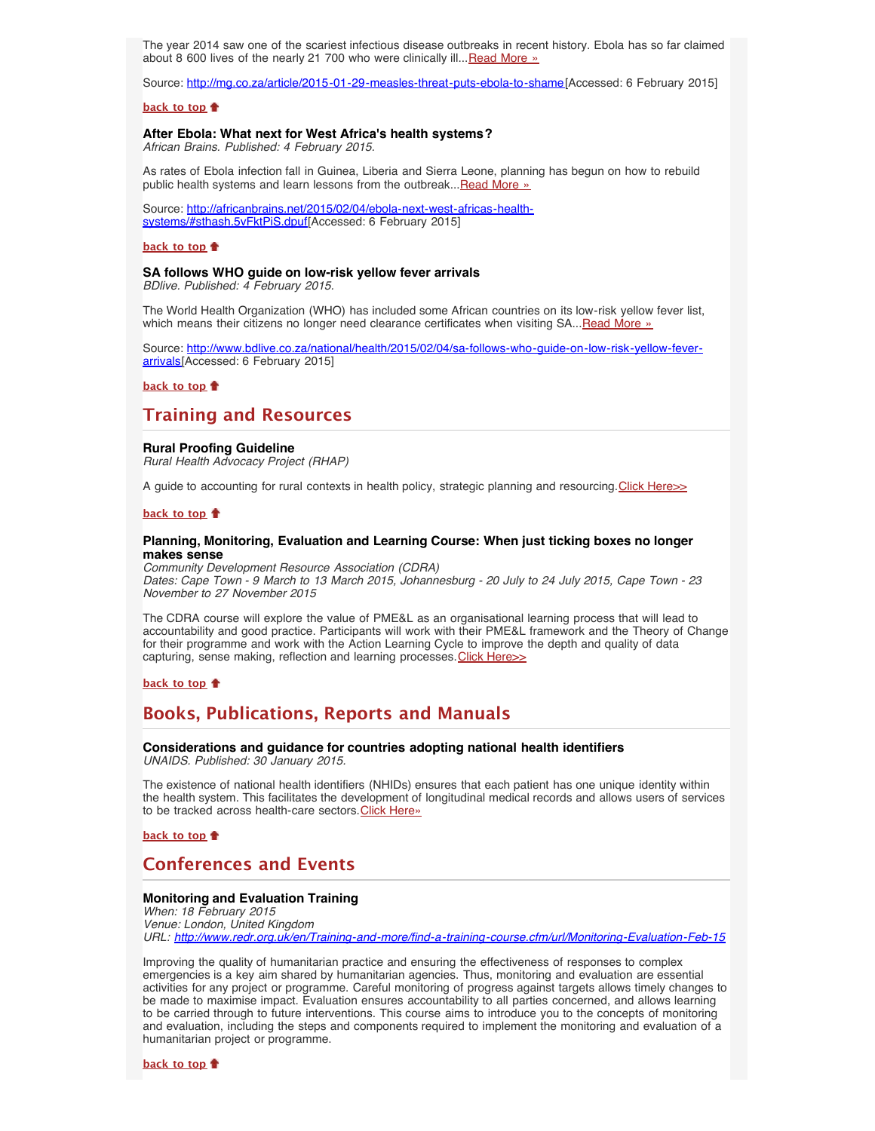The year 2014 saw one of the scariest infectious disease outbreaks in recent history. Ebola has so far claimed about 8 600 lives of the nearly 21 700 who were clinically ill... [Read More »](http://www.hst.org.za/news/comment-measles-threat-puts-ebola-shame)

Source: [http://mg.co.za/article/2015-01-29-measles-threat-puts-ebola-to-shame\[](http://mg.co.za/article/2015-01-29-measles-threat-puts-ebola-to-shame)Accessed: 6 February 2015]

#### **[back to top](#page-0-4)**

### <span id="page-2-0"></span>**After Ebola: What next for West Africa's health systems?**

*African Brains. Published: 4 February 2015.*

As rates of Ebola infection fall in Guinea, Liberia and Sierra Leone, planning has begun on how to rebuild public health systems and learn lessons from the outbreak... [Read More »](http://africanbrains.net/2015/02/04/ebola-next-west-africas-health-systems/#sthash.5vFktPiS.dpuf)

Source: [http://africanbrains.net/2015/02/04/ebola-next-west-africas-health](http://africanbrains.net/2015/02/04/ebola-next-west-africas-health-systems/#sthash.5vFktPiS.dpuf)[systems/#sthash.5vFktPiS.dpuf\[](http://africanbrains.net/2015/02/04/ebola-next-west-africas-health-systems/#sthash.5vFktPiS.dpuf)Accessed: 6 February 2015]

#### **[back to top](#page-0-4)**

### <span id="page-2-1"></span>**SA follows WHO guide on low-risk yellow fever arrivals**

*BDlive. Published: 4 February 2015.*

The World Health Organization (WHO) has included some African countries on its low-risk yellow fever list, which means their citizens no longer need clearance certificates when visiting SA... [Read More »](http://www.bdlive.co.za/national/health/2015/02/04/sa-follows-who-guide-on-low-risk-yellow-fever-arrivals)

Source: [http://www.bdlive.co.za/national/health/2015/02/04/sa-follows-who-guide-on-low-risk-yellow-fever](http://www.bdlive.co.za/national/health/2015/02/04/sa-follows-who-guide-on-low-risk-yellow-fever-arrivals)[arrivals](http://www.bdlive.co.za/national/health/2015/02/04/sa-follows-who-guide-on-low-risk-yellow-fever-arrivals)[Accessed: 6 February 2015]

## **[back to top](#page-0-4)**

## <span id="page-2-2"></span>**Training and Resources**

#### <span id="page-2-3"></span>**Rural Proofing Guideline**

*Rural Health Advocacy Project (RHAP)*

A guide to accounting for rural contexts in health policy, strategic planning and resourcing. Click Here >>

#### **[back to top](#page-0-4)**

### <span id="page-2-4"></span>**Planning, Monitoring, Evaluation and Learning Course: When just ticking boxes no longer makes sense**

*Community Development Resource Association (CDRA) Dates: Cape Town - 9 March to 13 March 2015, Johannesburg - 20 July to 24 July 2015, Cape Town - 23 November to 27 November 2015*

The CDRA course will explore the value of PME&L as an organisational learning process that will lead to accountability and good practice. Participants will work with their PME&L framework and the Theory of Change for their programme and work with the Action Learning Cycle to improve the depth and quality of data capturing, sense making, reflection and learning processes. [Click Here>>](http://www.ngopulse.org/event/planning-monitoring-evaluation-and-learning-course)

**[back to top](#page-0-4)**

## <span id="page-2-5"></span>**Books, Publications, Reports and Manuals**

<span id="page-2-6"></span>**Considerations and guidance for countries adopting national health identifiers** *UNAIDS. Published: 30 January 2015.*

The existence of national health identifiers (NHIDs) ensures that each patient has one unique identity within the health system. This facilitates the development of longitudinal medical records and allows users of services to be tracked across health-care sectors. [Click Here»](http://www.unaids.org/en/resources/documents/2014/national_health_identifiers)

**[back to top](#page-0-4)**

## <span id="page-2-7"></span>**Conferences and Events**

## <span id="page-2-8"></span>**Monitoring and Evaluation Training**

*When: 18 February 2015 Venue: London, United Kingdom URL: <http://www.redr.org.uk/en/Training-and-more/find-a-training-course.cfm/url/Monitoring-Evaluation-Feb-15>*

Improving the quality of humanitarian practice and ensuring the effectiveness of responses to complex emergencies is a key aim shared by humanitarian agencies. Thus, monitoring and evaluation are essential activities for any project or programme. Careful monitoring of progress against targets allows timely changes to be made to maximise impact. Evaluation ensures accountability to all parties concerned, and allows learning to be carried through to future interventions. This course aims to introduce you to the concepts of monitoring and evaluation, including the steps and components required to implement the monitoring and evaluation of a humanitarian project or programme.

**[back to top](#page-0-4)**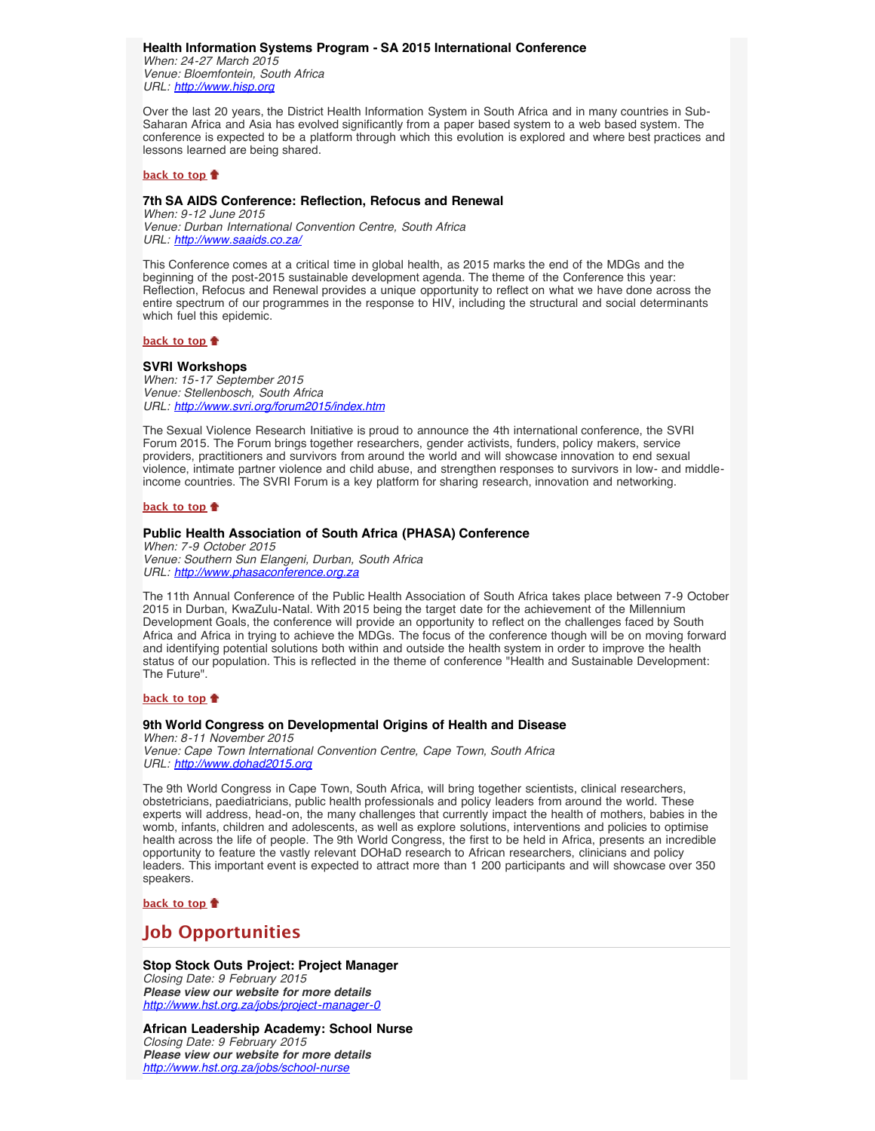<span id="page-3-0"></span>**Health Information Systems Program - SA 2015 International Conference** *When: 24-27 March 2015 Venue: Bloemfontein, South Africa*

*URL: [http://www.hisp.org](http://www.hisp.org/)*

Over the last 20 years, the District Health Information System in South Africa and in many countries in Sub-Saharan Africa and Asia has evolved significantly from a paper based system to a web based system. The conference is expected to be a platform through which this evolution is explored and where best practices and lessons learned are being shared.

#### **[back to top](#page-0-4)**

## <span id="page-3-1"></span>**7th SA AIDS Conference: Reflection, Refocus and Renewal**

*When: 9-12 June 2015 Venue: Durban International Convention Centre, South Africa URL: <http://www.saaids.co.za/>*

This Conference comes at a critical time in global health, as 2015 marks the end of the MDGs and the beginning of the post-2015 sustainable development agenda. The theme of the Conference this year: Reflection, Refocus and Renewal provides a unique opportunity to reflect on what we have done across the entire spectrum of our programmes in the response to HIV, including the structural and social determinants which fuel this epidemic.

#### **[back to top](#page-0-4)**

### <span id="page-3-2"></span>**SVRI Workshops**

*When: 15-17 September 2015 Venue: Stellenbosch, South Africa URL: <http://www.svri.org/forum2015/index.htm>*

The Sexual Violence Research Initiative is proud to announce the 4th international conference, the SVRI Forum 2015. The Forum brings together researchers, gender activists, funders, policy makers, service providers, practitioners and survivors from around the world and will showcase innovation to end sexual violence, intimate partner violence and child abuse, and strengthen responses to survivors in low- and middleincome countries. The SVRI Forum is a key platform for sharing research, innovation and networking.

#### **[back to top](#page-0-4)**

## <span id="page-3-3"></span>**Public Health Association of South Africa (PHASA) Conference**

*When: 7-9 October 2015 Venue: Southern Sun Elangeni, Durban, South Africa URL: [http://www.phasaconference.org.za](http://www.phasaconference.org.za/)*

The 11th Annual Conference of the Public Health Association of South Africa takes place between 7-9 October 2015 in Durban, KwaZulu-Natal. With 2015 being the target date for the achievement of the Millennium Development Goals, the conference will provide an opportunity to reflect on the challenges faced by South Africa and Africa in trying to achieve the MDGs. The focus of the conference though will be on moving forward and identifying potential solutions both within and outside the health system in order to improve the health status of our population. This is reflected in the theme of conference "Health and Sustainable Development: The Future".

#### **[back to top](#page-0-4)**

## <span id="page-3-4"></span>**9th World Congress on Developmental Origins of Health and Disease**

*When: 8-11 November 2015 Venue: Cape Town International Convention Centre, Cape Town, South Africa URL: [http://www.dohad2015.org](http://www.dohad2015.org/)*

The 9th World Congress in Cape Town, South Africa, will bring together scientists, clinical researchers, obstetricians, paediatricians, public health professionals and policy leaders from around the world. These experts will address, head-on, the many challenges that currently impact the health of mothers, babies in the womb, infants, children and adolescents, as well as explore solutions, interventions and policies to optimise health across the life of people. The 9th World Congress, the first to be held in Africa, presents an incredible opportunity to feature the vastly relevant DOHaD research to African researchers, clinicians and policy leaders. This important event is expected to attract more than 1 200 participants and will showcase over 350 speakers.

**[back to top](#page-0-4)**

## <span id="page-3-5"></span>**Job Opportunities**

## <span id="page-3-6"></span>**Stop Stock Outs Project: Project Manager**

*Closing Date: 9 February 2015 Please view our website for more details <http://www.hst.org.za/jobs/project-manager-0>*

<span id="page-3-7"></span>**African Leadership Academy: School Nurse** *Closing Date: 9 February 2015 Please view our website for more details <http://www.hst.org.za/jobs/school-nurse>*